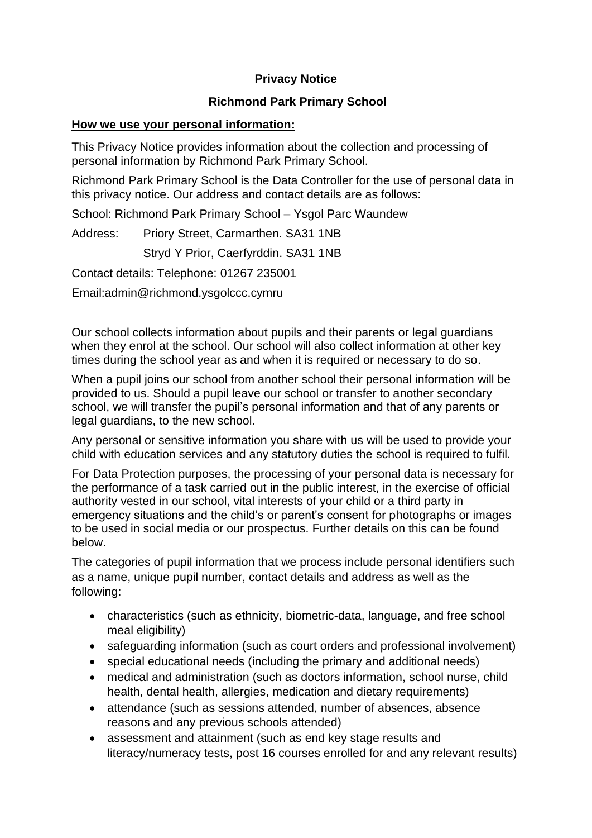# **Privacy Notice**

# **Richmond Park Primary School**

### **How we use your personal information:**

This Privacy Notice provides information about the collection and processing of personal information by Richmond Park Primary School.

Richmond Park Primary School is the Data Controller for the use of personal data in this privacy notice. Our address and contact details are as follows:

School: Richmond Park Primary School – Ysgol Parc Waundew

Address: Priory Street, Carmarthen. SA31 1NB

Stryd Y Prior, Caerfyrddin. SA31 1NB

Contact details: Telephone: 01267 235001

Email:admin@richmond.ysgolccc.cymru

Our school collects information about pupils and their parents or legal guardians when they enrol at the school. Our school will also collect information at other key times during the school year as and when it is required or necessary to do so.

When a pupil joins our school from another school their personal information will be provided to us. Should a pupil leave our school or transfer to another secondary school, we will transfer the pupil's personal information and that of any parents or legal guardians, to the new school.

Any personal or sensitive information you share with us will be used to provide your child with education services and any statutory duties the school is required to fulfil.

For Data Protection purposes, the processing of your personal data is necessary for the performance of a task carried out in the public interest, in the exercise of official authority vested in our school, vital interests of your child or a third party in emergency situations and the child's or parent's consent for photographs or images to be used in social media or our prospectus. Further details on this can be found below.

The categories of pupil information that we process include personal identifiers such as a name, unique pupil number, contact details and address as well as the following:

- characteristics (such as ethnicity, biometric-data, language, and free school meal eligibility)
- safeguarding information (such as court orders and professional involvement)
- special educational needs (including the primary and additional needs)
- medical and administration (such as doctors information, school nurse, child health, dental health, allergies, medication and dietary requirements)
- attendance (such as sessions attended, number of absences, absence reasons and any previous schools attended)
- assessment and attainment (such as end key stage results and literacy/numeracy tests, post 16 courses enrolled for and any relevant results)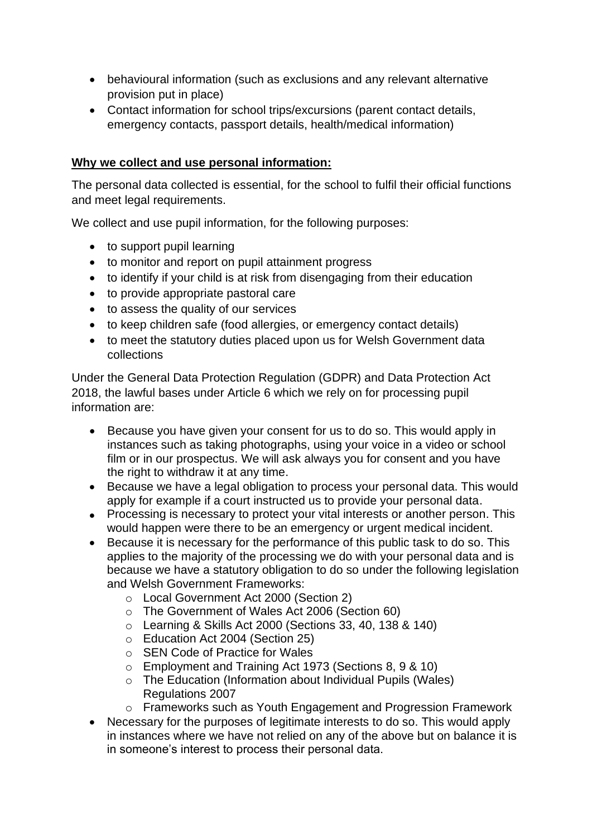- behavioural information (such as exclusions and any relevant alternative provision put in place)
- Contact information for school trips/excursions (parent contact details, emergency contacts, passport details, health/medical information)

### **Why we collect and use personal information:**

The personal data collected is essential, for the school to fulfil their official functions and meet legal requirements.

We collect and use pupil information, for the following purposes:

- to support pupil learning
- to monitor and report on pupil attainment progress
- to identify if your child is at risk from disengaging from their education
- to provide appropriate pastoral care
- to assess the quality of our services
- to keep children safe (food allergies, or emergency contact details)
- to meet the statutory duties placed upon us for Welsh Government data collections

Under the General Data Protection Regulation (GDPR) and Data Protection Act 2018, the lawful bases under Article 6 which we rely on for processing pupil information are:

- Because you have given your consent for us to do so. This would apply in instances such as taking photographs, using your voice in a video or school film or in our prospectus. We will ask always you for consent and you have the right to withdraw it at any time.
- Because we have a legal obligation to process your personal data. This would apply for example if a court instructed us to provide your personal data.
- Processing is necessary to protect your vital interests or another person. This would happen were there to be an emergency or urgent medical incident.
- Because it is necessary for the performance of this public task to do so. This applies to the majority of the processing we do with your personal data and is because we have a statutory obligation to do so under the following legislation and Welsh Government Frameworks:
	- o Local Government Act 2000 (Section 2)
	- o The Government of Wales Act 2006 (Section 60)
	- o Learning & Skills Act 2000 (Sections 33, 40, 138 & 140)
	- o Education Act 2004 (Section 25)
	- o SEN Code of Practice for Wales
	- o Employment and Training Act 1973 (Sections 8, 9 & 10)
	- o The Education (Information about Individual Pupils (Wales) Regulations 2007
	- o Frameworks such as Youth Engagement and Progression Framework
- Necessary for the purposes of legitimate interests to do so. This would apply in instances where we have not relied on any of the above but on balance it is in someone's interest to process their personal data.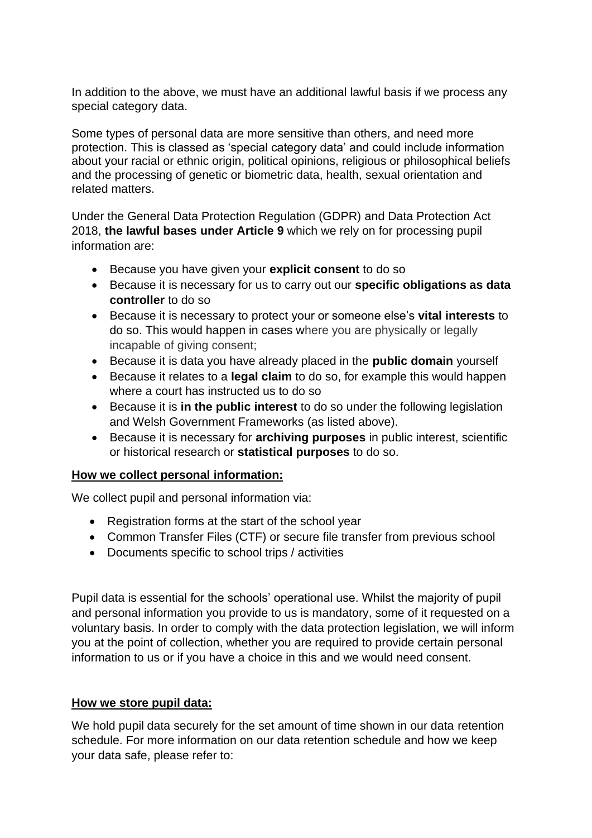In addition to the above, we must have an additional lawful basis if we process any special category data.

Some types of personal data are more sensitive than others, and need more protection. This is classed as 'special category data' and could include information about your racial or ethnic origin, political opinions, religious or philosophical beliefs and the processing of genetic or biometric data, health, sexual orientation and related matters.

Under the General Data Protection Regulation (GDPR) and Data Protection Act 2018, **the lawful bases under Article 9** which we rely on for processing pupil information are:

- Because you have given your **explicit consent** to do so
- Because it is necessary for us to carry out our **specific obligations as data controller** to do so
- Because it is necessary to protect your or someone else's **vital interests** to do so. This would happen in cases where you are physically or legally incapable of giving consent;
- Because it is data you have already placed in the **public domain** yourself
- Because it relates to a **legal claim** to do so, for example this would happen where a court has instructed us to do so
- Because it is **in the public interest** to do so under the following legislation and Welsh Government Frameworks (as listed above).
- Because it is necessary for **archiving purposes** in public interest, scientific or historical research or **statistical purposes** to do so.

#### **How we collect personal information:**

We collect pupil and personal information via:

- Registration forms at the start of the school year
- Common Transfer Files (CTF) or secure file transfer from previous school
- Documents specific to school trips / activities

Pupil data is essential for the schools' operational use. Whilst the majority of pupil and personal information you provide to us is mandatory, some of it requested on a voluntary basis. In order to comply with the data protection legislation, we will inform you at the point of collection, whether you are required to provide certain personal information to us or if you have a choice in this and we would need consent.

#### **How we store pupil data:**

We hold pupil data securely for the set amount of time shown in our data retention schedule. For more information on our data retention schedule and how we keep your data safe, please refer to: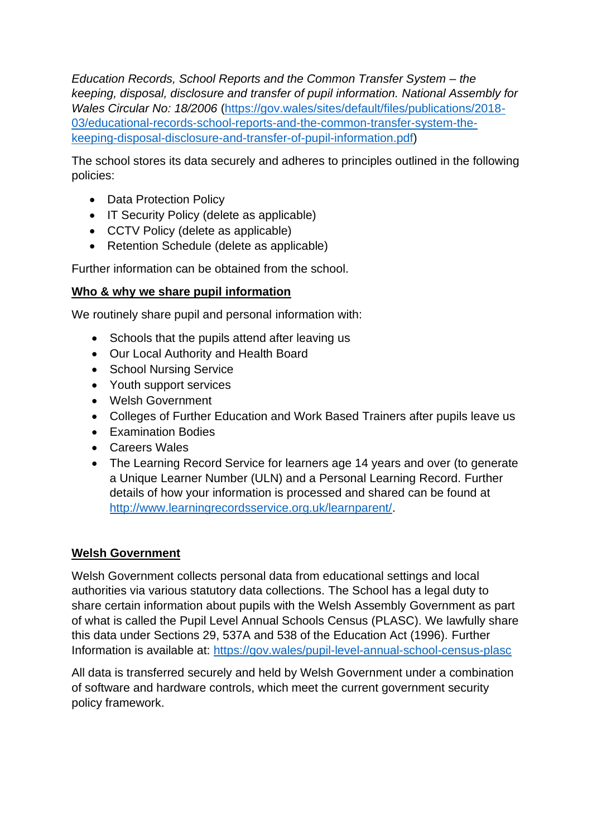*Education Records, School Reports and the Common Transfer System – the keeping, disposal, disclosure and transfer of pupil information. National Assembly for Wales Circular No: 18/2006* [\(https://gov.wales/sites/default/files/publications/2018-](https://gov.wales/sites/default/files/publications/2018-03/educational-records-school-reports-and-the-common-transfer-system-the-keeping-disposal-disclosure-and-transfer-of-pupil-information.pdf) [03/educational-records-school-reports-and-the-common-transfer-system-the](https://gov.wales/sites/default/files/publications/2018-03/educational-records-school-reports-and-the-common-transfer-system-the-keeping-disposal-disclosure-and-transfer-of-pupil-information.pdf)[keeping-disposal-disclosure-and-transfer-of-pupil-information.pdf\)](https://gov.wales/sites/default/files/publications/2018-03/educational-records-school-reports-and-the-common-transfer-system-the-keeping-disposal-disclosure-and-transfer-of-pupil-information.pdf)

The school stores its data securely and adheres to principles outlined in the following policies:

- Data Protection Policy
- IT Security Policy (delete as applicable)
- CCTV Policy (delete as applicable)
- Retention Schedule (delete as applicable)

Further information can be obtained from the school.

# **Who & why we share pupil information**

We routinely share pupil and personal information with:

- Schools that the pupils attend after leaving us
- Our Local Authority and Health Board
- School Nursing Service
- Youth support services
- Welsh Government
- Colleges of Further Education and Work Based Trainers after pupils leave us
- Examination Bodies
- Careers Wales
- The Learning Record Service for learners age 14 years and over (to generate a Unique Learner Number (ULN) and a Personal Learning Record. Further details of how your information is processed and shared can be found at [http://www.learningrecordsservice.org.uk/learnparent/.](http://www.learningrecordsservice.org.uk/learnparent/)

# **Welsh Government**

Welsh Government collects personal data from educational settings and local authorities via various statutory data collections. The School has a legal duty to share certain information about pupils with the Welsh Assembly Government as part of what is called the Pupil Level Annual Schools Census (PLASC). We lawfully share this data under Sections 29, 537A and 538 of the Education Act (1996). Further Information is available at:<https://gov.wales/pupil-level-annual-school-census-plasc>

All data is transferred securely and held by Welsh Government under a combination of software and hardware controls, which meet the current government security policy framework.